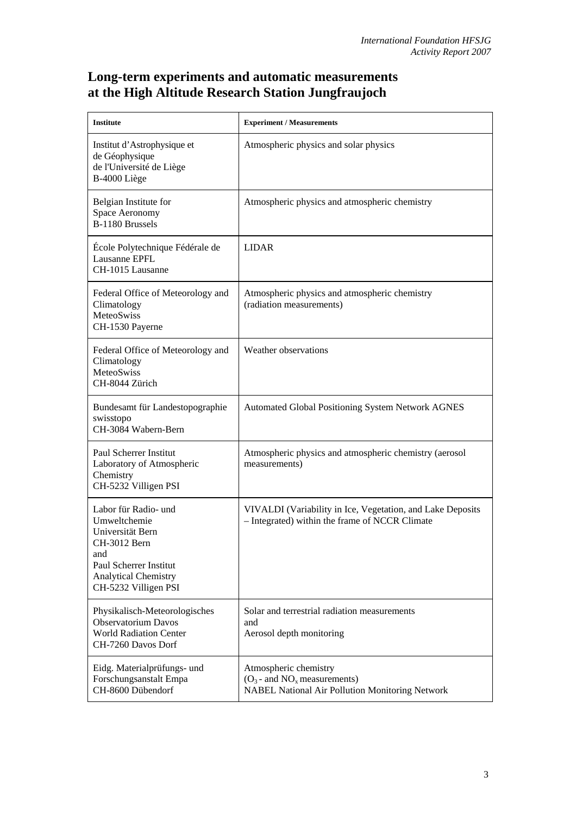## **Long-term experiments and automatic measurements at the High Altitude Research Station Jungfraujoch**

| <b>Institute</b>                                                                                                                                                 | <b>Experiment / Measurements</b>                                                                                     |
|------------------------------------------------------------------------------------------------------------------------------------------------------------------|----------------------------------------------------------------------------------------------------------------------|
| Institut d'Astrophysique et<br>de Géophysique<br>de l'Université de Liège<br>B-4000 Liège                                                                        | Atmospheric physics and solar physics                                                                                |
| Belgian Institute for<br>Space Aeronomy<br>B-1180 Brussels                                                                                                       | Atmospheric physics and atmospheric chemistry                                                                        |
| École Polytechnique Fédérale de<br>Lausanne EPFL<br>CH-1015 Lausanne                                                                                             | <b>LIDAR</b>                                                                                                         |
| Federal Office of Meteorology and<br>Climatology<br>MeteoSwiss<br>CH-1530 Payerne                                                                                | Atmospheric physics and atmospheric chemistry<br>(radiation measurements)                                            |
| Federal Office of Meteorology and<br>Climatology<br>MeteoSwiss<br>CH-8044 Zürich                                                                                 | Weather observations                                                                                                 |
| Bundesamt für Landestopographie<br>swisstopo<br>CH-3084 Wabern-Bern                                                                                              | <b>Automated Global Positioning System Network AGNES</b>                                                             |
| Paul Scherrer Institut<br>Laboratory of Atmospheric<br>Chemistry<br>CH-5232 Villigen PSI                                                                         | Atmospheric physics and atmospheric chemistry (aerosol<br>measurements)                                              |
| Labor für Radio- und<br>Umweltchemie<br>Universität Bern<br>CH-3012 Bern<br>and<br>Paul Scherrer Institut<br><b>Analytical Chemistry</b><br>CH-5232 Villigen PSI | VIVALDI (Variability in Ice, Vegetation, and Lake Deposits<br>- Integrated) within the frame of NCCR Climate         |
| Physikalisch-Meteorologisches<br><b>Observatorium Davos</b><br><b>World Radiation Center</b><br>CH-7260 Davos Dorf                                               | Solar and terrestrial radiation measurements<br>and<br>Aerosol depth monitoring                                      |
| Eidg. Materialprüfungs- und<br>Forschungsanstalt Empa<br>CH-8600 Dübendorf                                                                                       | Atmospheric chemistry<br>$(O_3$ - and $NO_x$ measurements)<br><b>NABEL National Air Pollution Monitoring Network</b> |